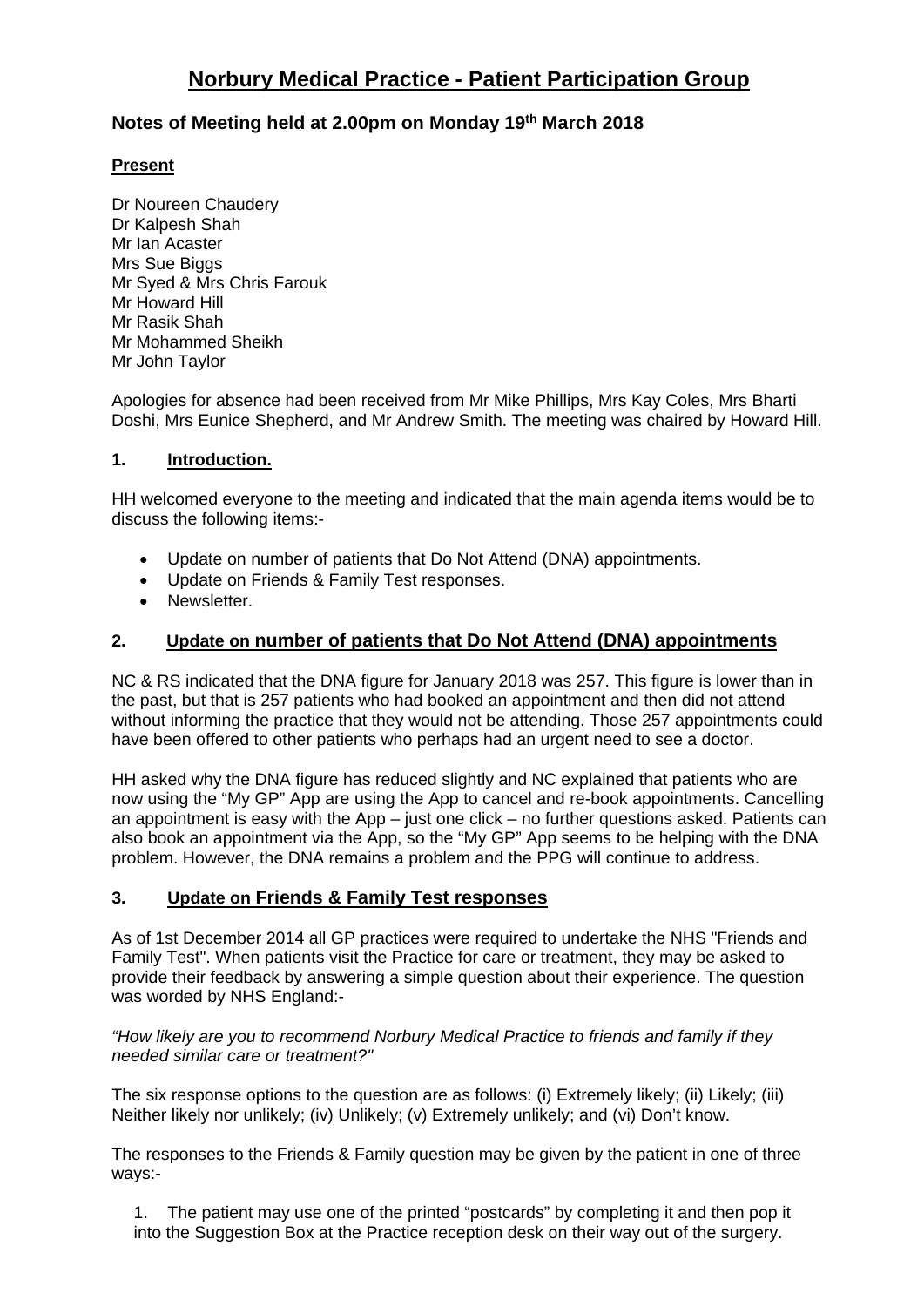## **Notes of Meeting held at 2.00pm on Monday 19th March 2018**

## **Present**

Dr Noureen Chaudery Dr Kalpesh Shah Mr Ian Acaster Mrs Sue Biggs Mr Syed & Mrs Chris Farouk Mr Howard Hill Mr Rasik Shah Mr Mohammed Sheikh Mr John Taylor

Apologies for absence had been received from Mr Mike Phillips, Mrs Kay Coles, Mrs Bharti Doshi, Mrs Eunice Shepherd, and Mr Andrew Smith. The meeting was chaired by Howard Hill.

## **1. Introduction.**

HH welcomed everyone to the meeting and indicated that the main agenda items would be to discuss the following items:-

- Update on number of patients that Do Not Attend (DNA) appointments.
- Update on Friends & Family Test responses.
- Newsletter.

## **2. Update on number of patients that Do Not Attend (DNA) appointments**

NC & RS indicated that the DNA figure for January 2018 was 257. This figure is lower than in the past, but that is 257 patients who had booked an appointment and then did not attend without informing the practice that they would not be attending. Those 257 appointments could have been offered to other patients who perhaps had an urgent need to see a doctor.

HH asked why the DNA figure has reduced slightly and NC explained that patients who are now using the "My GP" App are using the App to cancel and re-book appointments. Cancelling an appointment is easy with the App – just one click – no further questions asked. Patients can also book an appointment via the App, so the "My GP" App seems to be helping with the DNA problem. However, the DNA remains a problem and the PPG will continue to address.

## **3. Update on Friends & Family Test responses**

As of 1st December 2014 all GP practices were required to undertake the NHS "Friends and Family Test". When patients visit the Practice for care or treatment, they may be asked to provide their feedback by answering a simple question about their experience. The question was worded by NHS England:-

*"How likely are you to recommend Norbury Medical Practice to friends and family if they needed similar care or treatment?"*

The six response options to the question are as follows: (i) Extremely likely; (ii) Likely; (iii) Neither likely nor unlikely; (iv) Unlikely; (v) Extremely unlikely; and (vi) Don't know.

The responses to the Friends & Family question may be given by the patient in one of three ways:-

1. The patient may use one of the printed "postcards" by completing it and then pop it into the Suggestion Box at the Practice reception desk on their way out of the surgery.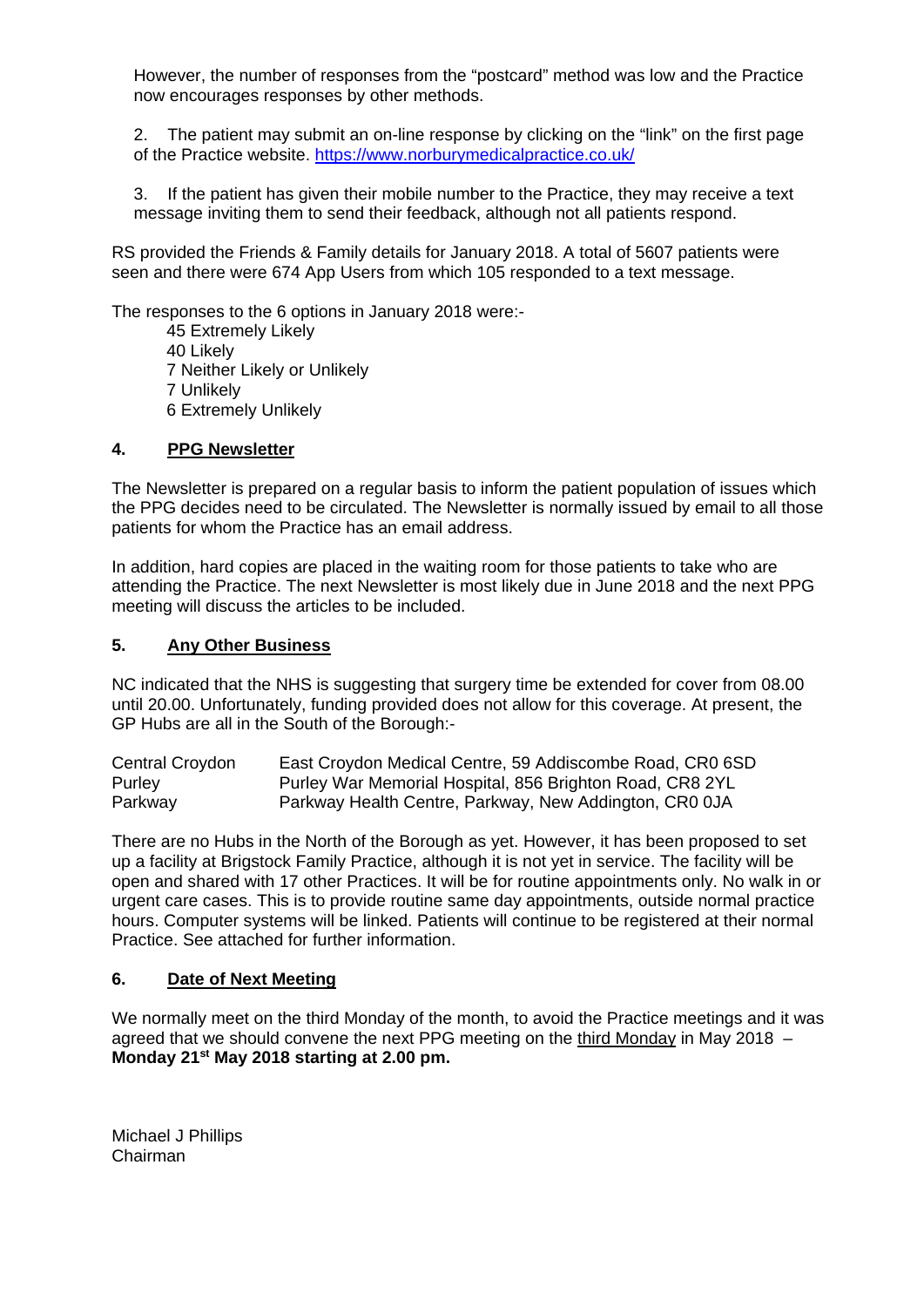However, the number of responses from the "postcard" method was low and the Practice now encourages responses by other methods.

2. The patient may submit an on-line response by clicking on the "link" on the first page of the Practice website. <https://www.norburymedicalpractice.co.uk/>

3. If the patient has given their mobile number to the Practice, they may receive a text message inviting them to send their feedback, although not all patients respond.

RS provided the Friends & Family details for January 2018. A total of 5607 patients were seen and there were 674 App Users from which 105 responded to a text message.

The responses to the 6 options in January 2018 were:-

45 Extremely Likely 40 Likely 7 Neither Likely or Unlikely 7 Unlikely 6 Extremely Unlikely

#### **4. PPG Newsletter**

The Newsletter is prepared on a regular basis to inform the patient population of issues which the PPG decides need to be circulated. The Newsletter is normally issued by email to all those patients for whom the Practice has an email address.

In addition, hard copies are placed in the waiting room for those patients to take who are attending the Practice. The next Newsletter is most likely due in June 2018 and the next PPG meeting will discuss the articles to be included.

#### **5. Any Other Business**

NC indicated that the NHS is suggesting that surgery time be extended for cover from 08.00 until 20.00. Unfortunately, funding provided does not allow for this coverage. At present, the GP Hubs are all in the South of the Borough:-

Central Croydon East Croydon Medical Centre, 59 Addiscombe Road, CR0 6SD Purley Purley War Memorial Hospital, 856 Brighton Road, CR8 2YL Parkway Parkway Health Centre, Parkway, New Addington, CR0 0JA

There are no Hubs in the North of the Borough as yet. However, it has been proposed to set up a facility at Brigstock Family Practice, although it is not yet in service. The facility will be open and shared with 17 other Practices. It will be for routine appointments only. No walk in or urgent care cases. This is to provide routine same day appointments, outside normal practice hours. Computer systems will be linked. Patients will continue to be registered at their normal Practice. See attached for further information.

#### **6. Date of Next Meeting**

We normally meet on the third Monday of the month, to avoid the Practice meetings and it was agreed that we should convene the next PPG meeting on the third Monday in May 2018 – **Monday 21st May 2018 starting at 2.00 pm.**

Michael J Phillips Chairman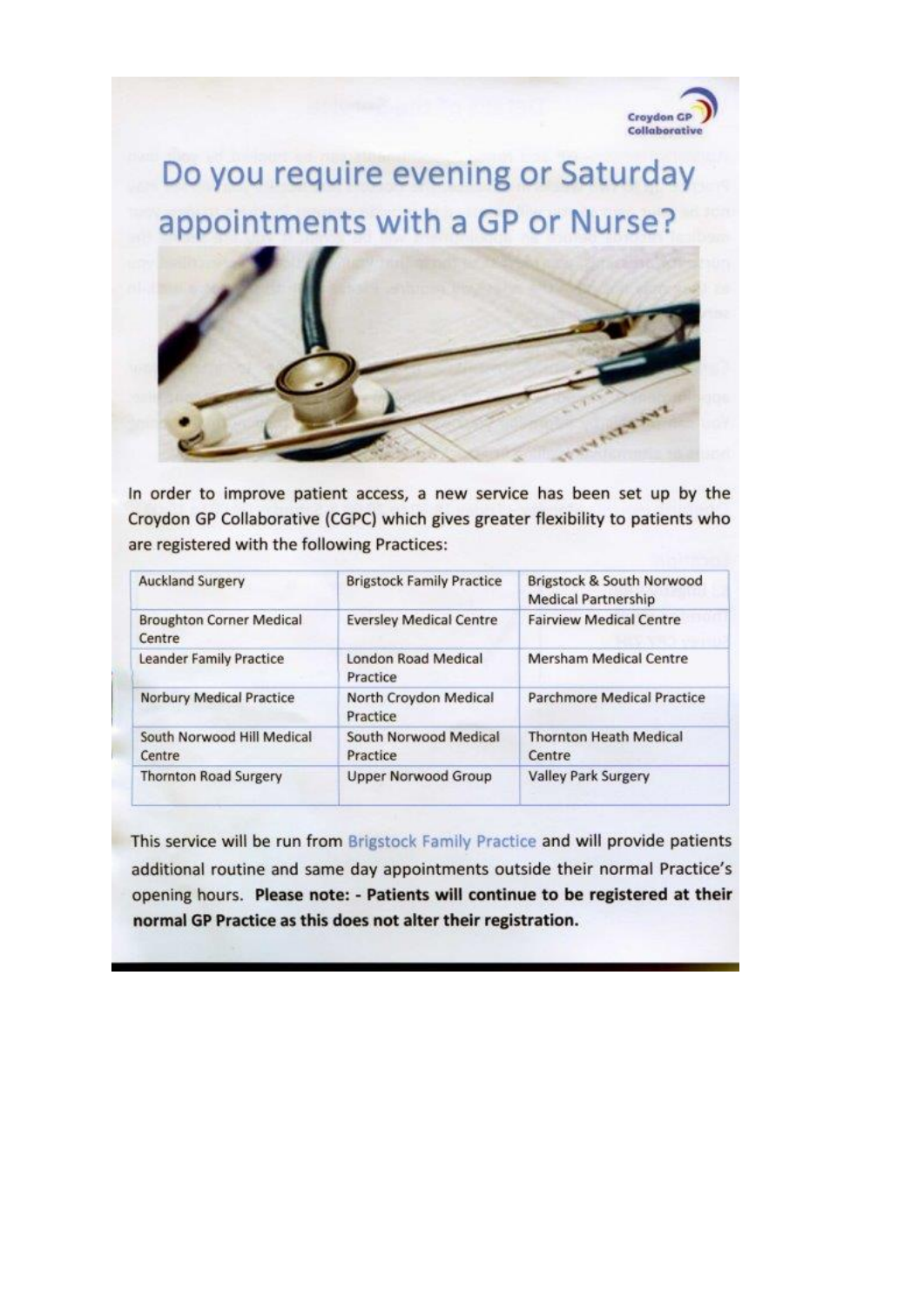

Do you require evening or Saturday appointments with a GP or Nurse?



In order to improve patient access, a new service has been set up by the Croydon GP Collaborative (CGPC) which gives greater flexibility to patients who are registered with the following Practices:

| <b>Auckland Surgery</b>                   | <b>Brigstock Family Practice</b>  | Brigstock & South Norwood<br><b>Medical Partnership</b> |
|-------------------------------------------|-----------------------------------|---------------------------------------------------------|
| <b>Broughton Corner Medical</b><br>Centre | <b>Eversley Medical Centre</b>    | <b>Fairview Medical Centre</b>                          |
| Leander Family Practice                   | London Road Medical<br>Practice   | Mersham Medical Centre                                  |
| <b>Norbury Medical Practice</b>           | North Croydon Medical<br>Practice | Parchmore Medical Practice                              |
| South Norwood Hill Medical<br>Centre      | South Norwood Medical<br>Practice | <b>Thornton Heath Medical</b><br>Centre                 |
| <b>Thornton Road Surgery</b>              | <b>Upper Norwood Group</b>        | <b>Valley Park Surgery</b>                              |

This service will be run from Brigstock Family Practice and will provide patients additional routine and same day appointments outside their normal Practice's opening hours. Please note: - Patients will continue to be registered at their normal GP Practice as this does not alter their registration.